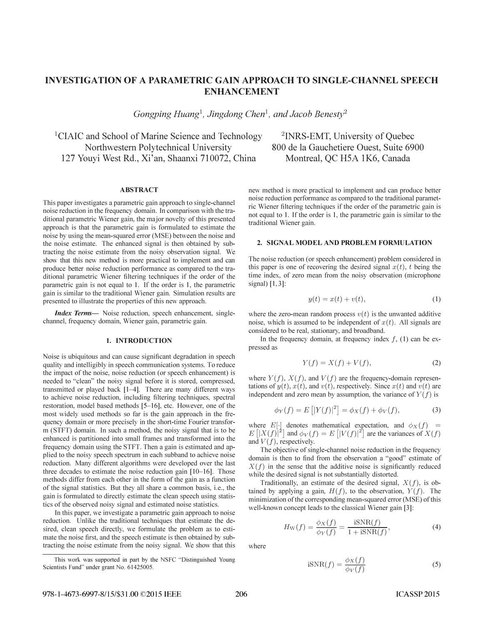# INVESTIGATION OF A PARAMETRIC GAIN APPROACH TO SINGLE-CHANNEL SPEECH ENHANCEMENT

Gongping Huang<sup>1</sup>, Jingdong Chen<sup>1</sup>, and Jacob Benesty<sup>2</sup>

<sup>1</sup>CIAIC and School of Marine Science and Technology Northwestern Poly technical University 127 Youyi West Rd., Xi'an, Shaanxi 710072, China Montreal, QC H5A 1K6, Canada

## ABSTRACT

This paper investigates a parametric gain approach to single-channel noise reduction in the frequency domain. In comparison with the traditional parametric Wiener gain, the major novelty of this presented approach is that the parametric gain is formulated to estimate the noise by using the mean-squared error (MSE) between the noise and the noise estimate. The enhanced signal is then obtained by subtracting the noise estimate from the noisy observation signal. We show that this new method is more practical to implement and can produce better noise reduction performance as compared to the traditional parametric Wiener filtering techniques if the order of the parametric gain is not equal to I. If the order is I, the parametric gain is similar to the traditional Wiener gain. Simulation results are presented to illustrate the properties of this new approach.

Index Terms- Noise reduction, speech enhancement, singlechannel, frequency domain, Wiener gain, parametric gain.

#### 1. INTRODUCTION

Noise is ubiquitous and can cause significant degradation in speech quality and intelligibly in speech communication systems. To reduce the impact of the noise, noise reduction (or speech enhancement) is needed to "clean" the noisy signal before it is stored, compressed, transmitted or played back [1-4]. There are many different ways to achieve noise reduction, including filtering techniques, spectral restoration, model based methods [5-16], etc. However, one of the most widely used methods so far is the gain approach in the frequency domain or more precisely in the short-time Fourier transform (STFT) domain. In such a method, the noisy signal that is to be enhanced is partitioned into small frames and transformed into the frequency domain using the STFT. Then a gain is estimated and applied to the noisy speech spectrum in each subband to achieve noise reduction. Many different algorithms were developed over the last three decades to estimate the noise reduction gain [10-16]. Those methods differ from each other in the form of the gain as a function of the signal statistics. But they all share a common basis, i.e., the gain is formulated to directly estimate the clean speech using statistics of the observed noisy signal and estimated noise statistics.

In this paper, we investigate a parametric gain approach to noise reduction. Unlike the traditional techniques that estimate the desired, clean speech directly, we formulate the problem as to estimate the noise first, and the speech estimate is then obtained by subtracting the noise estimate from the noisy signal. We show that this

2INRS-EMT, University of Quebec 800 de la Gauchetiere Ouest, Suite 6900

new method is more practical to implement and can produce better noise reduction performance as compared to the traditional parametric Wiener filtering techniques if the order of the parametric gain is not equal to 1. If the order is 1, the parametric gain is similar to the traditional Wiener gain.

#### 2. SIGNAL MODEL AND PROBLEM FORMULATION

The noise reduction (or speech enhancement) problem considered in this paper is one of recovering the desired signal  $x(t)$ , t being the time index, of zero mean from the noisy observation (microphone signal) [1, 3]:

$$
y(t) = x(t) + v(t),
$$
\n<sup>(1)</sup>

where the zero-mean random process  $v(t)$  is the unwanted additive noise, which is assumed to be independent of  $x(t)$ . All signals are considered to be real, stationary, and broadband.

In the frequency domain, at frequency index  $f$ , (1) can be expressed as

$$
Y(f) = X(f) + V(f),\tag{2}
$$

where  $Y(f)$ ,  $X(f)$ , and  $V(f)$  are the frequency-domain representations of  $y(t)$ ,  $x(t)$ , and  $v(t)$ , respectively. Since  $x(t)$  and  $v(t)$  are independent and zero mean by assumption, the variance of  $Y(f)$  is

$$
\phi_Y(f) = E[|Y(f)|^2] = \phi_X(f) + \phi_V(f), \tag{3}
$$

where  $E[\cdot]$  denotes mathematical expectation, and  $\phi_X(f) = E[|X(f)|^2]$  and  $\phi_V(f) = E[|V(f)|^2]$  are the variances of  $X(f)$ and  $V(f)$ , respectively.

The objective of single-channel noise reduction in the frequency domain is then to find from the observation a "good" estimate of  $X(f)$  in the sense that the additive noise is significantly reduced while the desired signal is not substantially distorted.

Traditionally, an estimate of the desired signal,  $X(f)$ , is obtained by applying a gain,  $H(f)$ , to the observation,  $Y(f)$ . The minimization of the corresponding mean-squared error (MSE) of this well-known concept leads to the classical Wiener gain [3]:

$$
H_{\rm W}(f) = \frac{\phi_X(f)}{\phi_Y(f)} = \frac{\text{iSNR}(f)}{1 + \text{iSNR}(f)},\tag{4}
$$

where

$$
iSNR(f) = \frac{\phi_X(f)}{\phi_V(f)}
$$
 (5)

This work was supported in part by the NSFC "Distinguished Young Scientists Fund" under grant No. 61425005.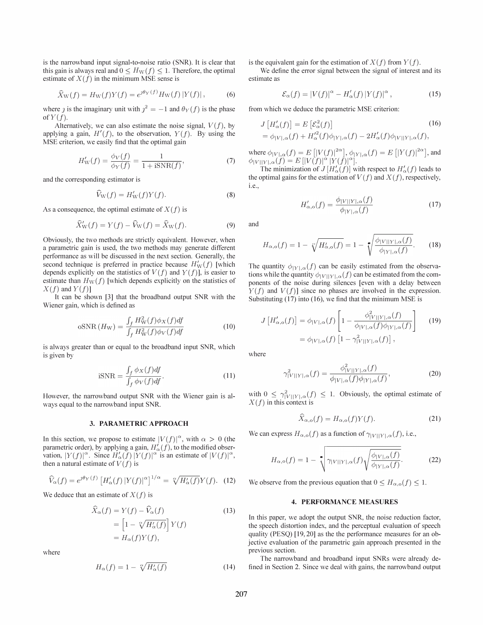is the narrowband input signal-to-noise ratio (SNR). It is clear that this gain is always real and  $0 \leq H_{\rm W}(f) \leq 1$ . Therefore, the optimal estimate of  $X(f)$  in the minimum MSE sense is

$$
\widehat{X}_{\rm W}(f) = H_{\rm W}(f)Y(f) = e^{\jmath \theta_Y(f)} H_{\rm W}(f) |Y(f)|, \qquad (6)
$$

where j is the imaginary unit with  $j^2 = -1$  and  $\theta_Y(f)$  is the phase of  $Y(f)$ .

Alternatively, we can also estimate the noise signal,  $V(f)$ , by applying a gain,  $H'(f)$ , to the observation,  $Y(f)$ . By using the MSE criterion, we easily find that the optimal gain

$$
H'_{\rm W}(f) = \frac{\phi_V(f)}{\phi_Y(f)} = \frac{1}{1 + i{\rm SNR}(f)},\tag{7}
$$

and the corresponding estimator is

$$
\widehat{V}_{\rm W}(f) = H_{\rm W}'(f)Y(f). \tag{8}
$$

As a consequence, the optimal estimate of  $X(f)$  is

$$
\widehat{X}_{\mathbf{W}}'(f) = Y(f) - \widehat{V}_{\mathbf{W}}(f) = \widehat{X}_{\mathbf{W}}(f). \tag{9}
$$

Obviously, the two methods are strictly equivalent. However, when a parametric gain is used, the two methods may generate different performance as will be discussed in the next section. Generally, the second technique is preferred in practice because  $H'_{\text{W}}(f)$  [which depends explicitly on the statistics of  $V(f)$  and  $Y(f)$ ], is easier to estimate than  $H_W(f)$  [which depends explicitly on the statistics of  $X(f)$  and  $Y(f)$ ]

It can be shown [3] that the broadband output SNR with the Wiener gain, which is defined as

$$
\text{oSNR}(H_{\text{W}}) = \frac{\int_{f} H_{\text{W}}^{2}(f)\phi_{X}(f)df}{\int_{f} H_{\text{W}}^{2}(f)\phi_{V}(f)df}
$$
(10)

is always greater than or equal to the broadband input SNR, which is given by where

$$
iSNR = \frac{\int_{f} \phi X(f) df}{\int_{f} \phi V(f) df}.
$$
 (11)

However, the narrowband output SNR with the Wiener gain is always equal to the narrowband input SNR.

#### 3. PARAMETRIC APPROACH

In this section, we propose to estimate  $|V(f)|^{\alpha}$ , with  $\alpha > 0$  (the parametric order), by applying a gain,  $H'_{\alpha}(f)$ , to the modified observation,  $|Y(f)|^{\alpha}$ . Since  $H'_{\alpha}(f)|Y(f)|^{\alpha}$  is an estimate of  $|V(f)|^{\alpha}$ , then a natural estimate of  $V(f)$  is

$$
\widehat{V}_{\alpha}(f) = e^{\jmath \theta_Y(f)} \left[ H_{\alpha}'(f) \left| Y(f) \right|^{\alpha} \right]^{1/\alpha} = \sqrt[\alpha]{H_{\alpha}'(f)} Y(f). \tag{12}
$$

We deduce that an estimate of  $X(f)$  is

$$
\hat{X}_{\alpha}(f) = Y(f) - \hat{V}_{\alpha}(f)
$$
\n
$$
= \left[1 - \sqrt[\alpha]{H'_{\alpha}(f)}\right]Y(f)
$$
\n
$$
= H_{\alpha}(f)Y(f),
$$
\n(13)

where

$$
H_{\alpha}(f) = 1 - \sqrt[\alpha]{H'_{\alpha}(f)}\tag{14}
$$

is the equivalent gain for the estimation of  $X(f)$  from  $Y(f)$ .

We define the error signal between the signal of interest and its estimate as

$$
\mathcal{E}_{\alpha}(f) = |V(f)|^{\alpha} - H'_{\alpha}(f) |Y(f)|^{\alpha}, \qquad (15)
$$

from which we deduce the parametric MSE criterion:

$$
J\left[H'_{\alpha}(f)\right] = E\left[\mathcal{E}_{\alpha}^{2}(f)\right]
$$
\n
$$
= \phi_{|V|,\alpha}(f) + H'^{2}_{\alpha}(f)\phi_{|Y|,\alpha}(f) - 2H'_{\alpha}(f)\phi_{|V||Y|,\alpha}(f),
$$
\n(16)

where  $\phi_{|V|,\alpha}(f) = E\left[|V(f)|^{2\alpha}\right], \phi_{|Y|,\alpha}(f) = E\left[|Y(f)|^{2\alpha}\right],$  and  $\phi_{|V||Y|,\alpha}(f) = E [|V(f)|^{\alpha} |Y(f)|^{\alpha}].$ 

The minimization of  $J[H'_{\alpha}(f)]$  with respect to  $H'_{\alpha}(f)$  leads to the optimal gains for the estimation of  $V(f)$  and  $X(f)$ , respectively, i.e.,

$$
H'_{\alpha,\text{o}}(f) = \frac{\phi_{|V||Y|,\alpha}(f)}{\phi_{|Y|,\alpha}(f)}\tag{17}
$$

and

$$
H_{\alpha,0}(f) = 1 - \sqrt[\alpha]{H'_{\alpha,0}(f)} = 1 - \sqrt[\alpha]{\frac{\phi_{|V||Y|,\alpha}(f)}{\phi_{|Y|,\alpha}(f)}}.
$$
 (18)

The quantity  $\phi_{|Y|,\alpha}(f)$  can be easily estimated from the observations while the quantity  $\phi_{|V||V|,\alpha}(f)$  can be estimated from the components of the noise during silences [even with a delay between  $Y(f)$  and  $V(f)$ ] since no phases are involved in the expression. Substituting (17) into (16), we find that the minimum MSE is

$$
J\left[H'_{\alpha,\text{o}}(f)\right] = \phi_{|V|,\alpha}(f) \left[1 - \frac{\phi_{|V||Y|,\alpha}^2(f)}{\phi_{|V|,\alpha}(f)\phi_{|Y|,\alpha}(f)}\right] \quad (19)
$$

$$
= \phi_{|V|,\alpha}(f) \left[1 - \gamma_{|V||Y|,\alpha}^2(f)\right],
$$

$$
\gamma_{|V||Y|,\alpha}^2(f) = \frac{\phi_{|V||Y|,\alpha}^2(f)}{\phi_{|V|,\alpha}(f)\phi_{|Y|,\alpha}(f)},
$$
\n(20)

with  $0 \leq \gamma^2_{|V||Y|,\alpha}(f) \leq 1$ . Obviously, the optimal estimate of  $X(f)$  in this context is

$$
\widehat{X}_{\alpha,\text{o}}(f) = H_{\alpha,\text{o}}(f)Y(f). \tag{21}
$$

We can express  $H_{\alpha,o}(f)$  as a function of  $\gamma_{|V||Y|,\alpha}(f)$ , i.e.,

$$
H_{\alpha,0}(f) = 1 - \sqrt{\gamma_{|V||Y|,\alpha}(f) \sqrt{\frac{\phi_{|V|,\alpha}(f)}{\phi_{|Y|,\alpha}(f)}}}. \tag{22}
$$

We observe from the previous equation that  $0 \leq H_{\alpha,0}(f) \leq 1$ .

#### 4. PERFORMANCE MEASURES

In this paper, we adopt the output SNR, the noise reduction factor, the speech distortion index, and the perceptual evaluation of speech quality (PESQ) [19, 20] as the the performance measures for an objective evaluation of the parametric gain approach presented in the previous section.

The narrowband and broadband input SNRs were already defined in Section 2. Since we deal with gains, the narrowband output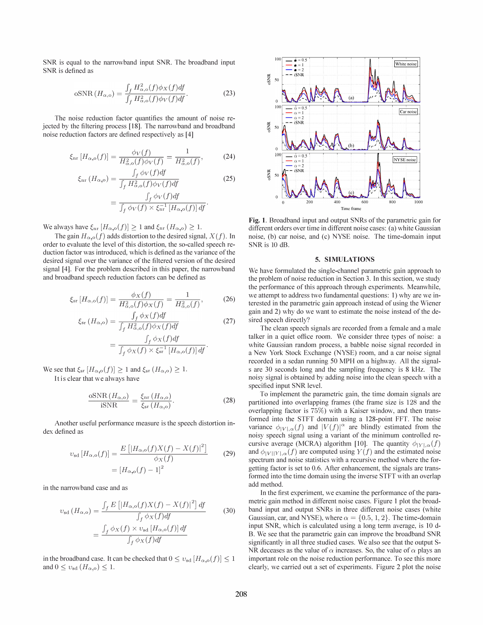SNR is equal to the narrowband input SNR. The broadband input SNR is defined as

$$
\text{oSNR}\left(H_{\alpha,o}\right) = \frac{\int_f H_{\alpha,o}^2(f)\phi_X(f)df}{\int_f H_{\alpha,o}^2(f)\phi_V(f)df}.\tag{23}
$$

The noise reduction factor quantifies the amount of noise rejected by the filtering process [IS]. The narrowband and broadband noise reduction factors are defined respectively as [4]

$$
\xi_{\rm nr}[H_{\alpha,0}(f)] = \frac{\phi_V(f)}{H_{\alpha,0}^2(f)\phi_V(f)} = \frac{1}{H_{\alpha,0}^2(f)},\tag{24}
$$

$$
\xi_{\rm nr} (H_{\alpha,0}) = \frac{\int_f \phi_V(f) df}{\int_f H_{\alpha,0}^2(f) \phi_V(f) df}
$$
\n
$$
= \frac{\int_f \phi_V(f) df}{\int_f \phi_V(f) \times \xi_{\rm nr}^{-1} [H_{\alpha,0}(f)] df}.
$$
\n(25)

We always have  $\xi_{\text{nr}}[H_{\alpha,\text{o}}(f)] \geq 1$  and  $\xi_{\text{nr}}(H_{\alpha,\text{o}}) \geq 1$ .

The gain  $H_{\alpha,o}(f)$  adds distortion to the desired signal,  $X(f)$ . In order to evaluate the level of this distortion, the so-called speech reduction factor was introduced, which is defined as the variance of the desired signal over the variance of the filtered version of the desired signal [4]. For the problem described in this paper, the narrowband and broadband speech reduction factors can be defined as

$$
\xi_{\rm sr}[H_{\alpha,\rm o}(f)] = \frac{\phi_X(f)}{H_{\alpha,\rm o}^2(f)\phi_X(f)} = \frac{1}{H_{\alpha,\rm o}^2(f)},\tag{26}
$$

$$
\xi_{\rm sr}(H_{\alpha,\rm o}) = \frac{\int_f \phi_X(f) df}{\int_f H_{\alpha,\rm o}^2(f) \phi_X(f) df}
$$
\n
$$
= \frac{\int_f \phi_X(f) df}{\int_f \phi_X(f) \times \xi_{\rm sr}^{-1} [H_{\alpha,\rm o}(f)] df}.
$$
\n(27)

We see that  $\xi_{sr} [H_{\alpha,o}(f)] \geq 1$  and  $\xi_{sr} (H_{\alpha,o}) \geq 1$ .

It is clear that we always have

$$
\frac{\text{oSNR}\left(H_{\alpha,o}\right)}{\text{iSNR}} = \frac{\xi_{\text{nr}}\left(H_{\alpha,o}\right)}{\xi_{\text{sr}}\left(H_{\alpha,o}\right)}.\tag{28}
$$

Another useful performance measure is the speech distortion index defined as

$$
v_{sd}[H_{\alpha,0}(f)] = \frac{E\left[|H_{\alpha,0}(f)X(f) - X(f)|^2\right]}{\phi_X(f)}
$$
 (29)  
=  $[H_{\alpha,0}(f) - 1]^2$ 

in the narrowband case and as

$$
v_{sd} (H_{\alpha,0}) = \frac{\int_f E\left[|H_{\alpha,0}(f)X(f) - X(f)|^2\right] df}{\int_f \phi_X(f) df}
$$
(30)  
= 
$$
\frac{\int_f \phi_X(f) \times v_{sd} [H_{\alpha,0}(f)] df}{\int_f \phi_X(f) df}
$$

in the broadband case. It can be checked that  $0 \le v_{sd}$   $[H_{\alpha,o}(f)] \le 1$ and  $0 \leq v_{sd}$   $(H_{\alpha,o}) \leq 1$ .



Fig. 1. Broadband input and output SNRs of the parametric gain for different orders over time in different noise cases: (a) white Gaussian noise, (b) car noise, and (c) NYSE noise. The time-domain input SNR is 10 dB.

### 5. SIMULATIONS

We have formulated the single-channel parametric gain approach to the problem of noise reduction in Section 3. In this section, we study the performance of this approach through experiments. Meanwhile, we attempt to address two fundamental questions: 1) why are we interested in the parametric gain approach instead of using the Wiener gain and 2) why do we want to estimate the noise instead of the desired speech directly?

The clean speech signals are recorded from a female and a male talker in a quiet office room. We consider three types of noise: a white Gaussian random process, a babble noise signal recorded in a New York Stock Exchange (NYSE) room, and a car noise signal recorded in a sedan running 50 MPH on a highway. All the signals are 30 seconds long and the sampling frequency is S kHz. The noisy signal is obtained by adding noise into the clean speech with a specified input SNR level.

To implement the parametric gain, the time domain signals are partitioned into overlapping frames (the frame size is 128 and the overlapping factor is 75%) with a Kaiser window, and then transformed into the STFT domain using a 12S-point FFT. The noise variance  $\phi_{|V|,\alpha}(f)$  and  $|V(f)|^{\alpha}$  are blindly estimated from the noisy speech signal using a variant of the minimum controlled recursive average (MCRA) algorithm [10]. The quantity  $\phi|_{Y|,\alpha}(f)$ and  $\phi_{|V||Y|,\alpha}(f)$  are computed using  $Y(f)$  and the estimated noise spectrum and noise statistics with a recursive method where the forgetting factor is set to 0.6. After enhancement, the signals are transformed into the time domain using the inverse STFT with an overlap add method.

In the first experiment, we examine the performance of the parametric gain method in different noise cases. Figure I plot the broadband input and output SNRs in three different noise cases (white Gaussian, car, and NYSE), where  $\alpha = \{0.5, 1, 2\}$ . The time-domain input SNR, which is calculated using a long term average, is 10 d-B. We see that the parametric gain can improve the broadband SNR significantly in all three studied cases. We also see that the output S-NR deceases as the value of  $\alpha$  increases. So, the value of  $\alpha$  plays an important role on the noise reduction performance. To see this more clearly, we carried out a set of experiments. Figure 2 plot the noise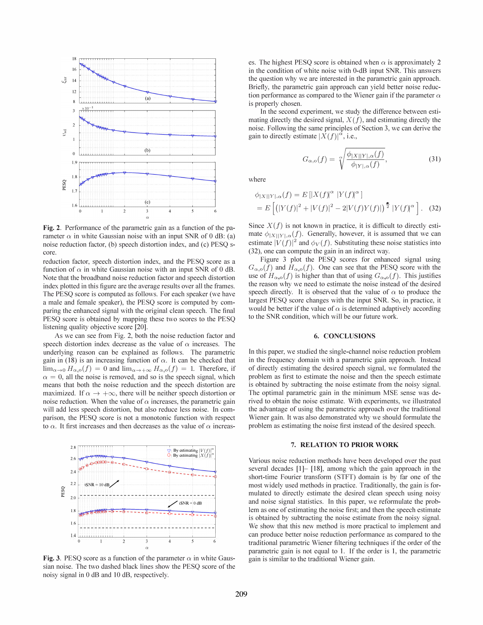

Fig. 2. Performance of the parametric gain as a function of the parameter  $\alpha$  in white Gaussian noise with an input SNR of 0 dB: (a) noise reduction factor, (b) speech distortion index, and (c) PESQ score.

reduction factor, speech distortion index, and the PESQ score as a function of  $\alpha$  in white Gaussian noise with an input SNR of 0 dB. Note that the broadband noise reduction factor and speech distortion index plotted in this figure are the average results over all the frames. The PESQ score is computed as follows. For each speaker (we have a male and female speaker), the PESQ score is computed by comparing the enhanced signal with the original clean speech. The final PESQ score is obtained by mapping these two scores to the PESQ listening quality objective score [20].

As we can see from Fig. 2, both the noise reduction factor and speech distortion index decrease as the value of  $\alpha$  increases. The underlying reason can be explained as follows. The parametric gain in (18) is an increasing function of  $\alpha$ . It can be checked that  $\lim_{\alpha\to 0} H_{\alpha,0}(f) = 0$  and  $\lim_{\alpha\to +\infty} H_{\alpha,0}(f) = 1$ . Therefore, if  $\alpha = 0$ , all the noise is removed, and so is the speech signal, which means that both the noise reduction and the speech distortion are maximized. If  $\alpha \to +\infty$ , there will be neither speech distortion or noise reduction. When the value of  $\alpha$  increases, the parametric gain will add less speech distortion, but also reduce less noise. In comparison, the PESQ score is not a monotonic function with respect to  $\alpha$ . It first increases and then decreases as the value of  $\alpha$  increasexpression of the parametric gain as a function of<br>
in white Gaussian noise with an input SNR of 0.<br>
cition factor, (b) speech distortion index, and (c) P<br>
factor, speech distortion index, and the PESQ sco<br>
f  $\alpha$  in whit



Fig. 3. PESQ score as a function of the parameter  $\alpha$  in white Gaussian noise. The two dashed black lines show the PESQ score of the noisy signal in 0 dB and 10 dB, respectively.

es. The highest PESO score is obtained when  $\alpha$  is approximately 2 in the condition of white noise with O-dB input SNR. This answers the question why we are interested in the parametric gain approach. Briefly, the parametric gain approach can yield better noise reduction performance as compared to the Wiener gain if the parameter  $\alpha$ is properly chosen.

In the second experiment, we study the difference between estimating directly the desired signal,  $X(f)$ , and estimating directly the noise. Following the same principles of Section 3, we can derive the gain to directly estimate  $|X(f)|^{\alpha}$ , i.e.,

$$
G_{\alpha,\mathfrak{o}}(f) = \sqrt[\alpha]{\frac{\phi_{|X||Y|,\alpha}(f)}{\phi_{|Y|,\alpha}(f)}},\tag{31}
$$

where

$$
\phi_{|X||Y|,\alpha}(f) = E[|X(f)|^{\alpha} |Y(f)|^{\alpha}]
$$
  
= 
$$
E\left[ (|Y(f)|^2 + |V(f)|^2 - 2|V(f)Y(f)|)^{\frac{\alpha}{2}} |Y(f)|^{\alpha} \right].
$$
 (32)

Since  $X(f)$  is not known in practice, it is difficult to directly estimate  $\phi_{|X||Y|,\alpha}(f)$ . Generally, however, it is assumed that we can estimate  $|V(f)|^2$  and  $\phi_V(f)$ . Substituting these noise statistics into (32), one can compute the gain in an indirect way.

Figure 3 plot the PESQ scores for enhanced signal using  $G_{\alpha,0}(f)$  and  $H_{\alpha,0}(f)$ . One can see that the PESQ score with the use of  $H_{\alpha,o}(f)$  is higher than that of using  $G_{\alpha,o}(f)$ . This justifies the reason why we need to estimate the noise instead of the desired speech directly. It is observed that the value of  $\alpha$  to produce the largest PESQ score changes with the input SNR. So, in practice, it would be better if the value of  $\alpha$  is determined adaptively according to the SNR condition, which will be our future work.

## 6. CONCLUSIONS

In this paper, we studied the single-channel noise reduction problem in the frequency domain with a parametric gain approach. Instead of directly estimating the desired speech signal, we formulated the problem as first to estimate the noise and then the speech estimate is obtained by subtracting the noise estimate from the noisy signal. The optimal parametric gain in the minimum MSE sense was derived to obtain the noise estimate. With experiments, we illustrated the advantage of using the parametric approach over the traditional Wiener gain. It was also demonstrated why we should formulate the problem as estimating the noise first instead of the desired speech.

#### 7. RELATION TO PRIOR WORK

Various noise reduction methods have been developed over the past several decades [1]- [18], among which the gain approach in the short-time Fourier transform (STFT) domain is by far one of the most widely used methods in practice. Traditionally, the gain is formulated to directly estimate the desired clean speech using noisy and noise signal statistics. In this paper, we reformulate the problem as one of estimating the noise first; and then the speech estimate is obtained by subtracting the noise estimate from the noisy signal. We show that this new method is more practical to implement and can produce better noise reduction performance as compared to the traditional parametric Wiener filtering techniques if the order of the parametric gain is not equal to 1. If the order is 1, the parametric gain is similar to the traditional Wiener gain.